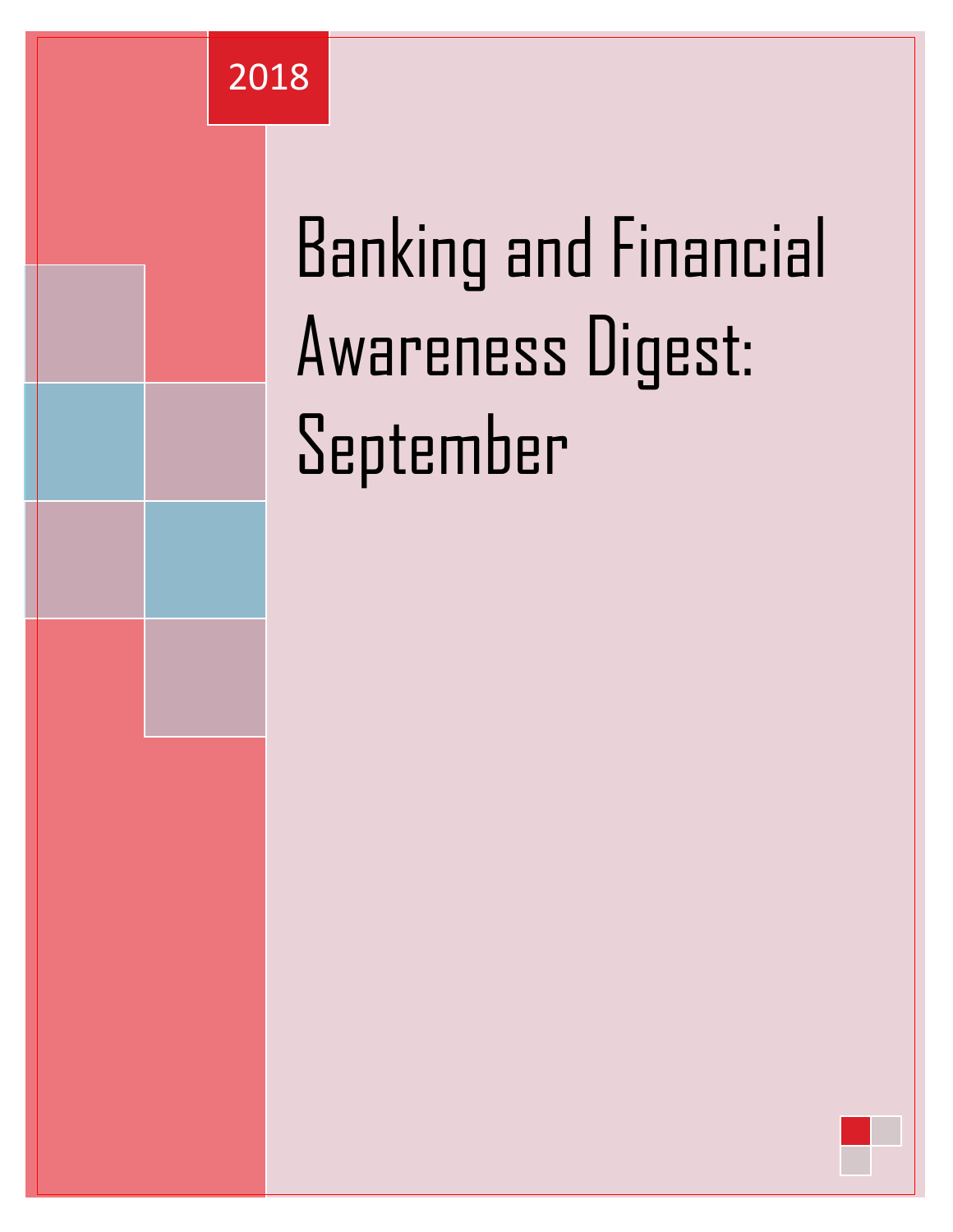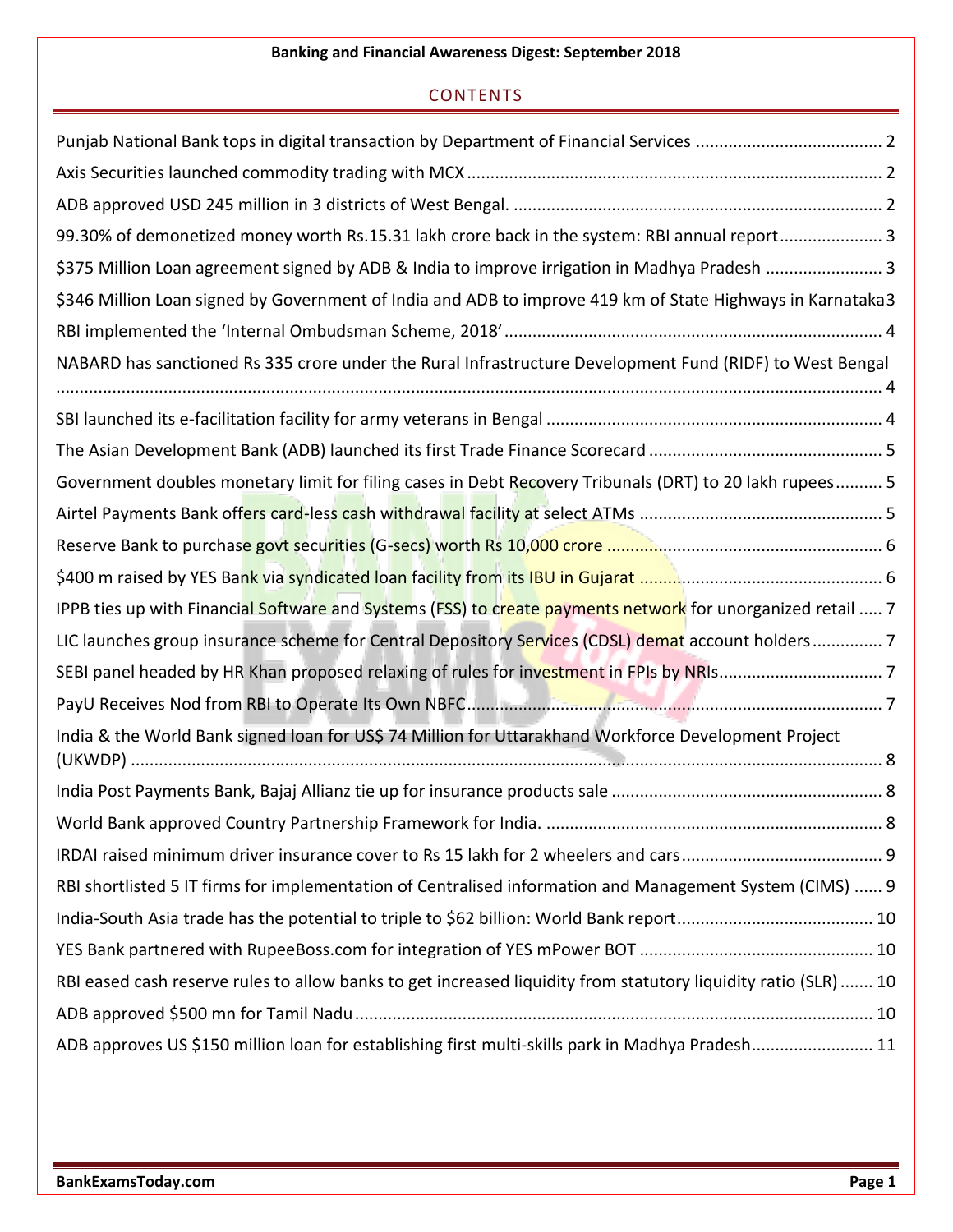#### **CONTENTS**

| 99.30% of demonetized money worth Rs.15.31 lakh crore back in the system: RBI annual report 3                   |
|-----------------------------------------------------------------------------------------------------------------|
| \$375 Million Loan agreement signed by ADB & India to improve irrigation in Madhya Pradesh  3                   |
| \$346 Million Loan signed by Government of India and ADB to improve 419 km of State Highways in Karnataka3      |
|                                                                                                                 |
| NABARD has sanctioned Rs 335 crore under the Rural Infrastructure Development Fund (RIDF) to West Bengal        |
|                                                                                                                 |
|                                                                                                                 |
| Government doubles monetary limit for filing cases in Debt Recovery Tribunals (DRT) to 20 lakh rupees 5         |
|                                                                                                                 |
|                                                                                                                 |
|                                                                                                                 |
| IPPB ties up with Financial Software and Systems (FSS) to create payments network for unorganized retail  7     |
| LIC launches group insurance scheme for Central Depository Services (CDSL) demat account holders 7              |
|                                                                                                                 |
|                                                                                                                 |
| India & the World Bank signed loan for US\$ 74 Million for Uttarakhand Workforce Development Project            |
|                                                                                                                 |
|                                                                                                                 |
|                                                                                                                 |
|                                                                                                                 |
| RBI shortlisted 5 IT firms for implementation of Centralised information and Management System (CIMS)  9        |
|                                                                                                                 |
|                                                                                                                 |
| RBI eased cash reserve rules to allow banks to get increased liquidity from statutory liquidity ratio (SLR)  10 |
|                                                                                                                 |
| ADB approves US \$150 million loan for establishing first multi-skills park in Madhya Pradesh 11                |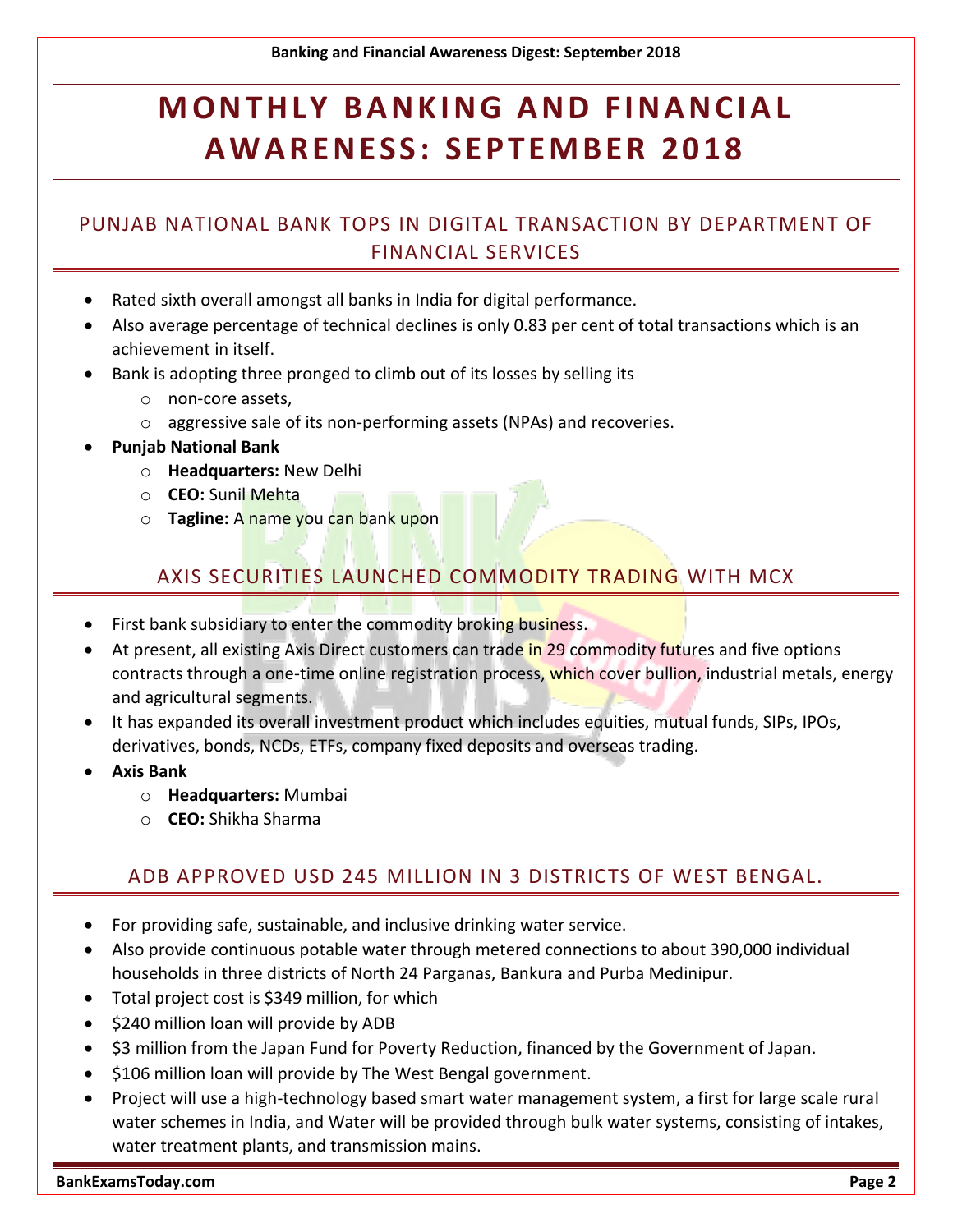## **MONTHLY BANKING AND FINANCIAL A W A R EN ES S : S EPT EM B ER 2 0 1 8**

### <span id="page-2-0"></span>PUNJAB NATIONAL BANK TOPS IN DIGITAL TRANSACTION BY DEPARTMENT OF FINANCIAL SERVICES

- Rated sixth overall amongst all banks in India for digital performance.
- Also average percentage of technical declines is only 0.83 per cent of total transactions which is an achievement in itself.
- Bank is adopting three pronged to climb out of its losses by selling its
	- o non-core assets,
	- o aggressive sale of its non-performing assets (NPAs) and recoveries.
- **Punjab National Bank**
	- o **Headquarters:** New Delhi
	- o **CEO:** Sunil Mehta
	- o **Tagline:** A name you can bank upon

#### AXIS SECURITIES LAUNCHED COMMODITY TRADING WITH MCX

- <span id="page-2-1"></span>• First bank subsidiary to enter the commodity broking business.
- At present, all existing Axis Direct customers can trade in 29 commodity futures and five options contracts through a one-time online registration process, which cover bullion, industrial metals, energy and agricultural segments.
- It has expanded its overall investment product which includes equities, mutual funds, SIPs, IPOs, derivatives, bonds, NCDs, ETFs, company fixed deposits and overseas trading.
- **Axis Bank**
	- o **Headquarters:** Mumbai
	- o **CEO:** Shikha Sharma

#### ADB APPROVED USD 245 MILLION IN 3 DISTRICTS OF WEST BENGAL.

- <span id="page-2-2"></span>For providing safe, sustainable, and inclusive drinking water service.
- Also provide continuous potable water through metered connections to about 390,000 individual households in three districts of North 24 Parganas, Bankura and Purba Medinipur.
- Total project cost is \$349 million, for which
- \$240 million loan will provide by ADB
- \$3 million from the Japan Fund for Poverty Reduction, financed by the Government of Japan.
- \$106 million loan will provide by The West Bengal government.
- Project will use a high-technology based smart water management system, a first for large scale rural water schemes in India, and Water will be provided through bulk water systems, consisting of intakes, water treatment plants, and transmission mains.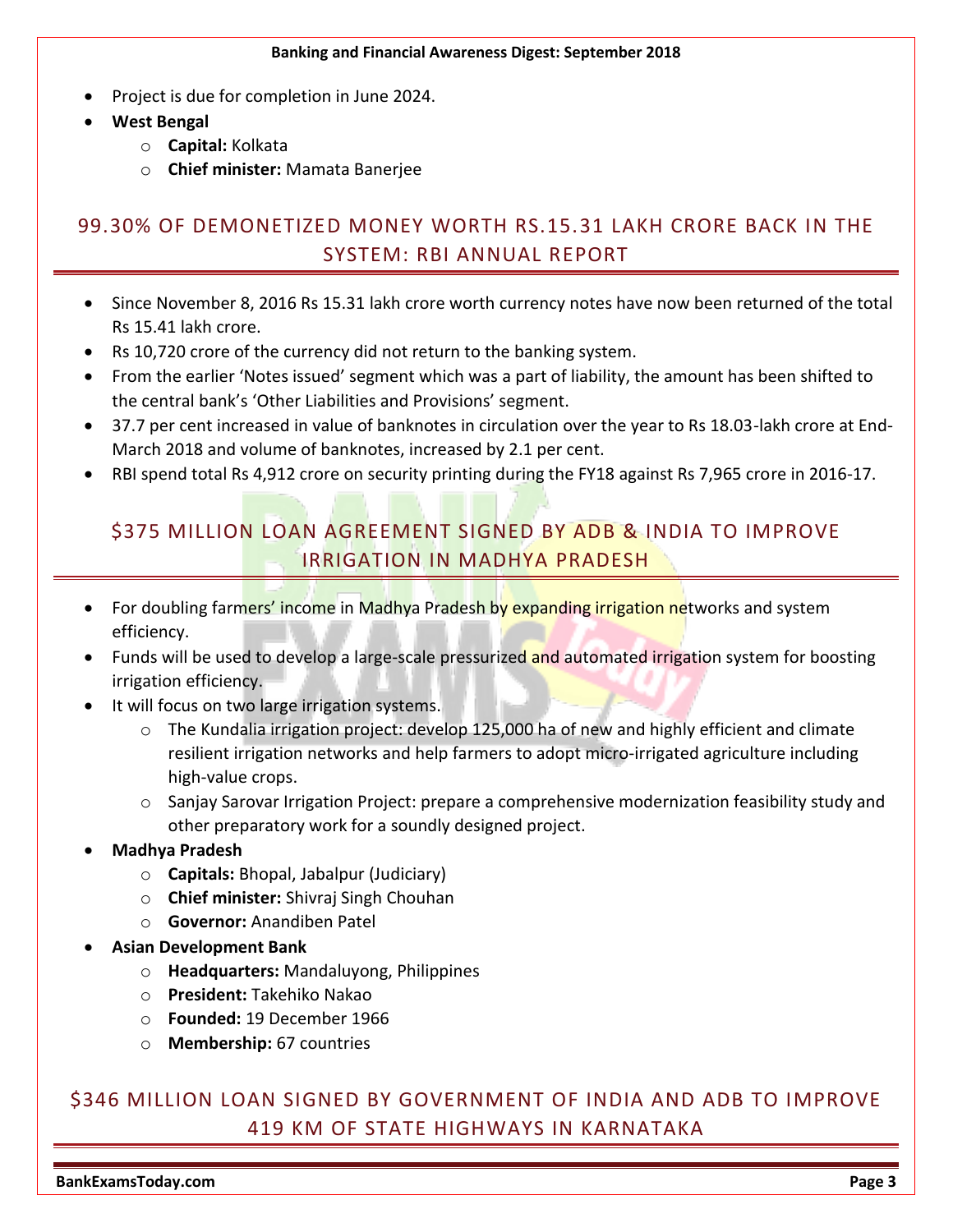- Project is due for completion in June 2024.
- **West Bengal**
	- o **Capital:** Kolkata
	- o **Chief minister:** Mamata Banerjee

### <span id="page-3-0"></span>99.30% OF DEMONETIZED MONEY WORTH RS.15.31 LAKH CRORE BACK IN THE SYSTEM: RBI ANNUAL REPORT

- Since November 8, 2016 Rs 15.31 lakh crore worth currency notes have now been returned of the total Rs 15.41 lakh crore.
- Rs 10,720 crore of the currency did not return to the banking system.
- From the earlier 'Notes issued' segment which was a part of liability, the amount has been shifted to the central bank's 'Other Liabilities and Provisions' segment.
- 37.7 per cent increased in value of banknotes in circulation over the year to Rs 18.03-lakh crore at End-March 2018 and volume of banknotes, increased by 2.1 per cent.
- <span id="page-3-1"></span>RBI spend total Rs 4,912 crore on security printing during the FY18 against Rs 7,965 crore in 2016-17.

#### \$375 MILLION LOAN AGREEMENT SIGNED BY ADB & INDIA TO IMPROVE IRRIGATION IN MADHYA PRADESH

- For doubling farmers' income in Madhya Pradesh by expanding irrigation networks and system efficiency.
- Funds will be used to develop a large-scale pressurized and automated irrigation system for boosting irrigation efficiency.
- It will focus on two large irrigation systems.
	- o The Kundalia irrigation project: develop 125,000 ha of new and highly efficient and climate resilient irrigation networks and help farmers to adopt micro-irrigated agriculture including high-value crops.
	- o Sanjay Sarovar Irrigation Project: prepare a comprehensive modernization feasibility study and other preparatory work for a soundly designed project.
- **Madhya Pradesh**
	- o **Capitals:** Bhopal, Jabalpur (Judiciary)
	- o **Chief minister:** Shivraj Singh Chouhan
	- o **Governor:** Anandiben Patel
- **Asian Development Bank**
	- o **Headquarters:** Mandaluyong, Philippines
	- o **President:** Takehiko Nakao
	- o **Founded:** 19 December 1966
	- o **Membership:** 67 countries

#### <span id="page-3-2"></span>\$346 MILLION LOAN SIGNED BY GOVERNMENT OF INDIA AND ADB TO IMPROVE 419 KM OF STATE HIGHWAYS IN KARNATAKA

**BankExamsToday.com Page 3**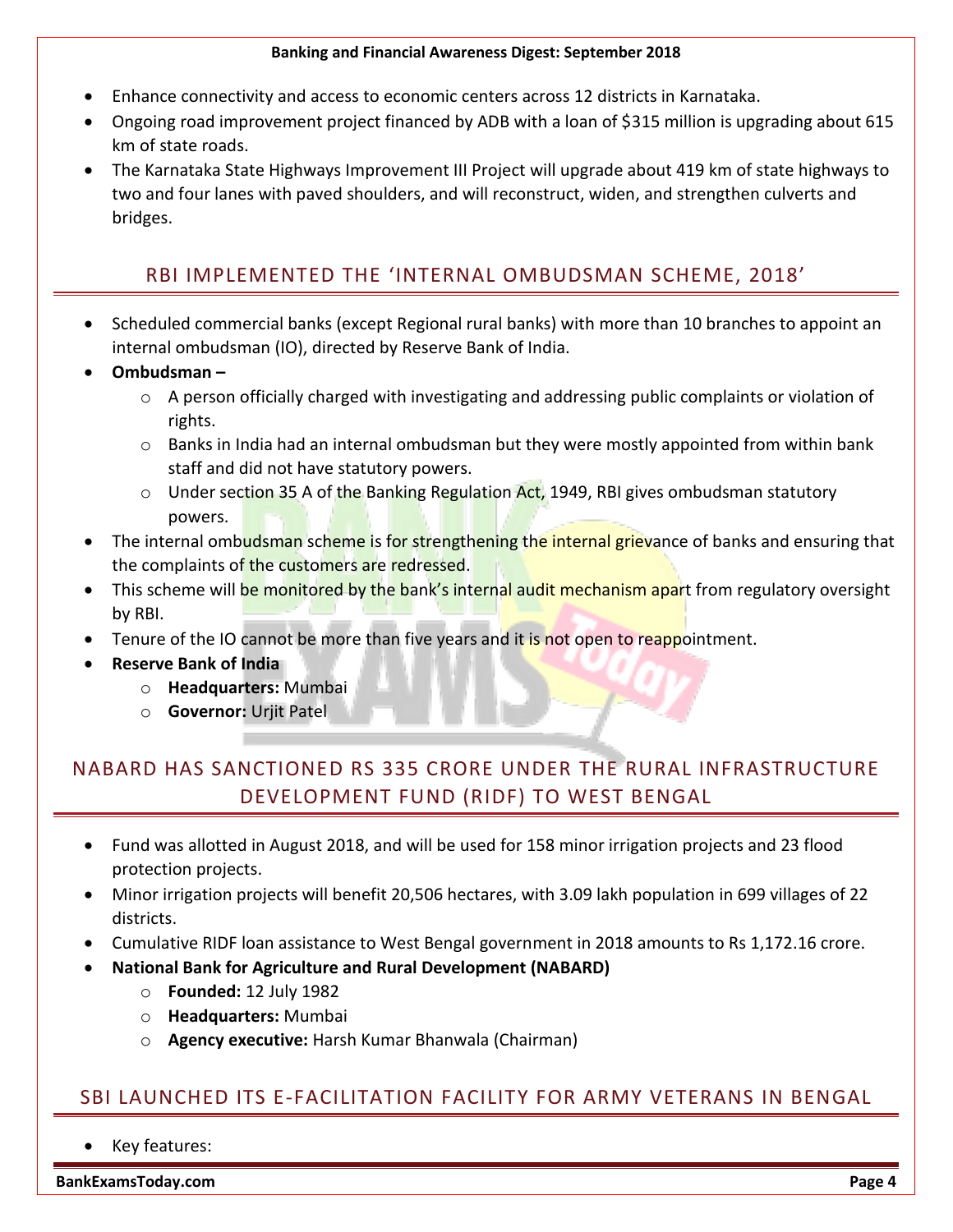- Enhance connectivity and access to economic centers across 12 districts in Karnataka.
- Ongoing road improvement project financed by ADB with a loan of \$315 million is upgrading about 615 km of state roads.
- The Karnataka State Highways Improvement III Project will upgrade about 419 km of state highways to two and four lanes with paved shoulders, and will reconstruct, widen, and strengthen culverts and bridges.

### RBI IMPLEMENTED THE 'INTERNAL OMBUDSMAN SCHEME, 2018'

- <span id="page-4-0"></span> Scheduled commercial banks (except Regional rural banks) with more than 10 branches to appoint an internal ombudsman (IO), directed by Reserve Bank of India.
- **Ombudsman –**
	- $\circ$  A person officially charged with investigating and addressing public complaints or violation of rights.
	- o Banks in India had an internal ombudsman but they were mostly appointed from within bank staff and did not have statutory powers.
	- $\circ$  Under section 35 A of the Banking Regulation Act, 1949, RBI gives ombudsman statutory powers.
- The internal ombudsman scheme is for strengthening the internal grievance of banks and ensuring that the complaints of the customers are redressed.
- This scheme will be monitored by the bank's internal audit mechanism apart from regulatory oversight by RBI.
- Tenure of the IO cannot be more than five years and it is not open to reappointment.
- **Reserve Bank of India**
	- o **Headquarters:** Mumbai
	- o **Governor:** Urjit Patel

## <span id="page-4-1"></span>NABARD HAS SANCTIONED RS 335 CRORE UNDER THE RURAL INFRASTRUCTURE DEVELOPMENT FUND (RIDF) TO WEST BENGAL

- Fund was allotted in August 2018, and will be used for 158 minor irrigation projects and 23 flood protection projects.
- Minor irrigation projects will benefit 20,506 hectares, with 3.09 lakh population in 699 villages of 22 districts.
- Cumulative RIDF loan assistance to West Bengal government in 2018 amounts to Rs 1,172.16 crore.
- **National Bank for Agriculture and Rural Development (NABARD)**
	- o **Founded:** 12 July 1982
	- o **Headquarters:** Mumbai
	- o **Agency executive:** Harsh Kumar Bhanwala (Chairman)

### <span id="page-4-2"></span>SBI LAUNCHED ITS E-FACILITATION FACILITY FOR ARMY VETERANS IN BENGAL

Key features:

**BankExamsToday.com Page 4**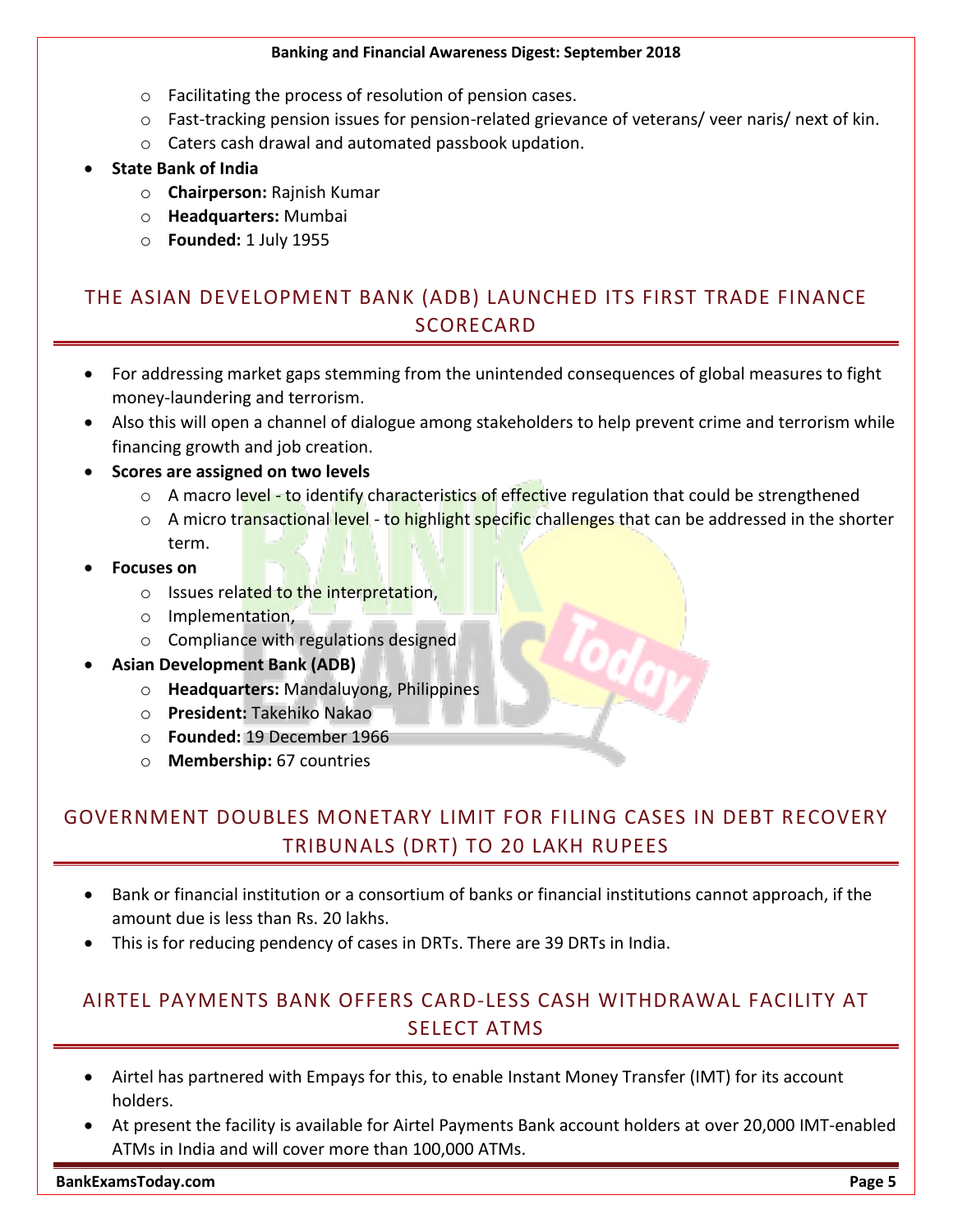- o Facilitating the process of resolution of pension cases.
- o Fast-tracking pension issues for pension-related grievance of veterans/ veer naris/ next of kin.
- o Caters cash drawal and automated passbook updation.

#### **State Bank of India**

- o **Chairperson:** Rajnish Kumar
- o **Headquarters:** Mumbai
- o **Founded:** 1 July 1955

#### <span id="page-5-0"></span>THE ASIAN DEVELOPMENT BANK (ADB) LAUNCHED ITS FIRST TRADE FINANCE **SCORECARD**

- For addressing market gaps stemming from the unintended consequences of global measures to fight money-laundering and terrorism.
- Also this will open a channel of dialogue among stakeholders to help prevent crime and terrorism while financing growth and job creation.
- **Scores are assigned on two levels**
	- o A macro level to identify characteristics of effective regulation that could be strengthened
	- $\circ$  A micro transactional level to highlight specific challenges that can be addressed in the shorter term.

#### **Focuses on**

- o Issues related to the interpretation,
- o Implementation,
- o Compliance with regulations designed
- **Asian Development Bank (ADB)**
	- o **Headquarters:** Mandaluyong, Philippines
	- o **President:** Takehiko Nakao
	- o **Founded:** 19 December 1966
	- o **Membership:** 67 countries

#### <span id="page-5-1"></span>GOVERNMENT DOUBLES MONETARY LIMIT FOR FILING CASES IN DEBT RECOVERY TRIBUNALS (DRT) TO 20 LAKH RUPEES

- Bank or financial institution or a consortium of banks or financial institutions cannot approach, if the amount due is less than Rs. 20 lakhs.
- This is for reducing pendency of cases in DRTs. There are 39 DRTs in India.

#### <span id="page-5-2"></span>AIRTEL PAYMENTS BANK OFFERS CARD-LESS CASH WITHDRAWAL FACILITY AT SELECT ATMS

- Airtel has partnered with Empays for this, to enable Instant Money Transfer (IMT) for its account holders.
- At present the facility is available for Airtel Payments Bank account holders at over 20,000 IMT-enabled ATMs in India and will cover more than 100,000 ATMs.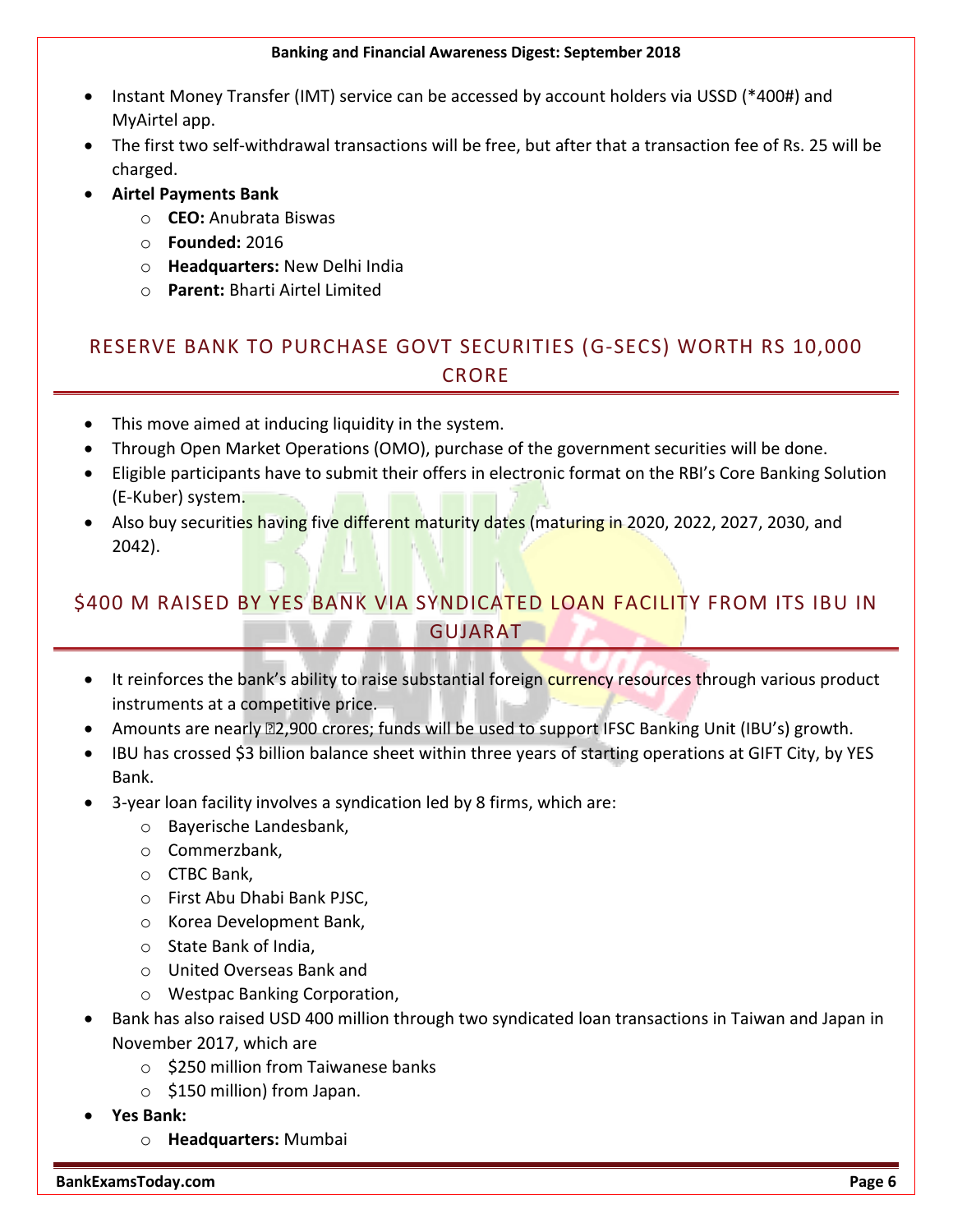- Instant Money Transfer (IMT) service can be accessed by account holders via USSD (\*400#) and MyAirtel app.
- The first two self-withdrawal transactions will be free, but after that a transaction fee of Rs. 25 will be charged.
- **Airtel Payments Bank**
	- o **CEO:** Anubrata Biswas
	- o **Founded:** 2016
	- o **Headquarters:** New Delhi India
	- o **Parent:** Bharti Airtel Limited

## <span id="page-6-0"></span>RESERVE BANK TO PURCHASE GOVT SECURITIES (G-SECS) WORTH RS 10,000 **CRORE**

- This move aimed at inducing liquidity in the system.
- Through Open Market Operations (OMO), purchase of the government securities will be done.
- Eligible participants have to submit their offers in electronic format on the RBI's Core Banking Solution (E-Kuber) system.
- Also buy securities having five different maturity dates (maturing in 2020, 2022, 2027, 2030, and 2042).

## <span id="page-6-1"></span>\$400 M RAISED BY YES BANK VIA SYNDICATED LOAN FACILITY FROM ITS IBU IN GUJARAT

- It reinforces the bank's ability to raise substantial foreign currency resources through various product instruments at a competitive price.
- Amounts are nearly **<b>E2,900 crores; funds will be used to support IFSC Banking Unit (IBU's)** growth.
- IBU has crossed \$3 billion balance sheet within three years of starting operations at GIFT City, by YES Bank.
- 3-year loan facility involves a syndication led by 8 firms, which are:
	- o Bayerische Landesbank,
	- o Commerzbank,
	- o CTBC Bank,
	- o First Abu Dhabi Bank PJSC,
	- o Korea Development Bank,
	- o State Bank of India,
	- o United Overseas Bank and
	- o Westpac Banking Corporation,
- Bank has also raised USD 400 million through two syndicated loan transactions in Taiwan and Japan in November 2017, which are
	- o \$250 million from Taiwanese banks
	- o \$150 million) from Japan.
- **Yes Bank:**
	- o **Headquarters:** Mumbai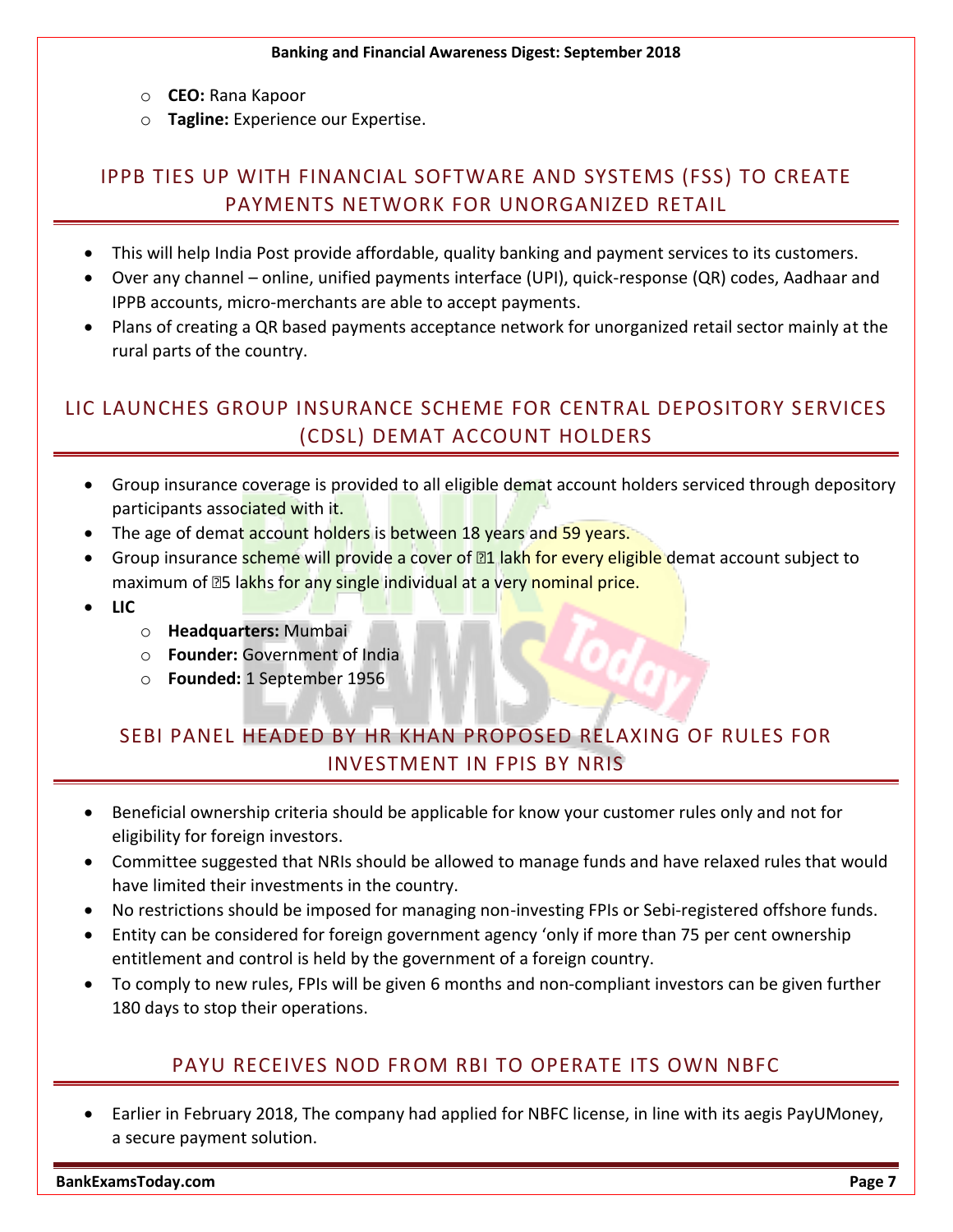- o **CEO:** Rana Kapoor
- o **Tagline:** Experience our Expertise.

#### <span id="page-7-0"></span>IPPB TIES UP WITH FINANCIAL SOFTWARE AND SYSTEMS (FSS) TO CREATE PAYMENTS NETWORK FOR UNORGANIZED RETAIL

- This will help India Post provide affordable, quality banking and payment services to its customers.
- Over any channel online, unified payments interface (UPI), quick-response (QR) codes, Aadhaar and IPPB accounts, micro-merchants are able to accept payments.
- Plans of creating a QR based payments acceptance network for unorganized retail sector mainly at the rural parts of the country.

## <span id="page-7-1"></span>LIC LAUNCHES GROUP INSURANCE SCHEME FOR CENTRAL DEPOSITORY SERVICES (CDSL) DEMAT ACCOUNT HOLDERS

- Group insurance coverage is provided to all eligible demat account holders serviced through depository participants associated with it.
- The age of demat account holders is between 18 years and 59 years.
- Group insurance scheme will provide a cover of **<b>nd** lakh for every eligible demat account subject to maximum of **<b>E5** lakhs for any single individual at a very nominal price.
- **LIC**
	- o **Headquarters:** Mumbai
	- o **Founder:** Government of India
	- o **Founded:** 1 September 1956

### <span id="page-7-2"></span>SEBI PANEL HEADED BY HR KHAN PROPOSED RELAXING OF RULES FOR INVESTMENT IN FPIS BY NRIS

- Beneficial ownership criteria should be applicable for know your customer rules only and not for eligibility for foreign investors.
- Committee suggested that NRIs should be allowed to manage funds and have relaxed rules that would have limited their investments in the country.
- No restrictions should be imposed for managing non-investing FPIs or Sebi-registered offshore funds.
- Entity can be considered for foreign government agency 'only if more than 75 per cent ownership entitlement and control is held by the government of a foreign country.
- <span id="page-7-3"></span> To comply to new rules, FPIs will be given 6 months and non-compliant investors can be given further 180 days to stop their operations.

#### PAYU RECEIVES NOD FROM RBI TO OPERATE ITS OWN NBFC

 Earlier in February 2018, The company had applied for NBFC license, in line with its aegis PayUMoney, a secure payment solution.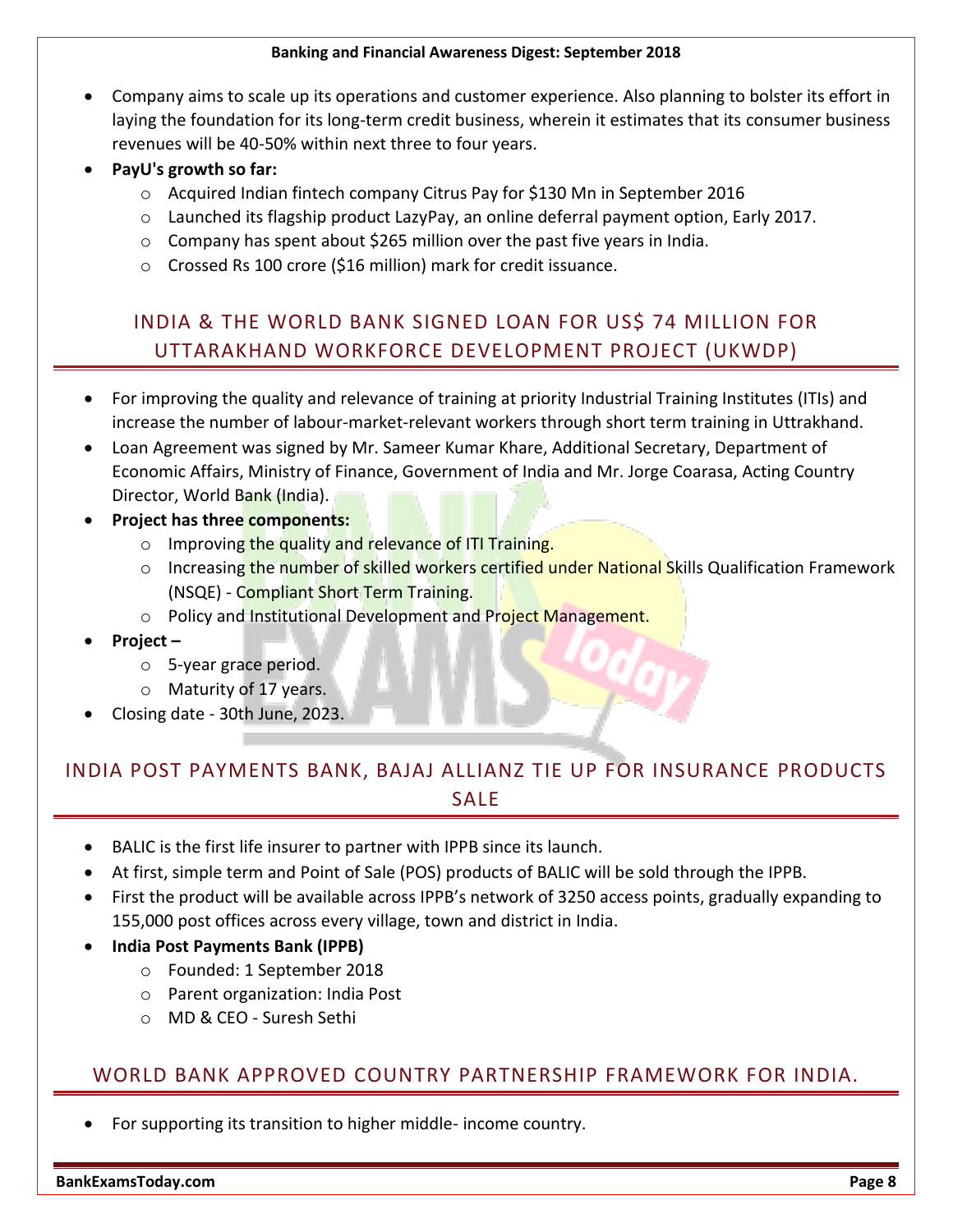- Company aims to scale up its operations and customer experience. Also planning to bolster its effort in laying the foundation for its long-term credit business, wherein it estimates that its consumer business revenues will be 40-50% within next three to four years.
- **PayU's growth so far:**
	- o Acquired Indian fintech company Citrus Pay for \$130 Mn in September 2016
	- o Launched its flagship product LazyPay, an online deferral payment option, Early 2017.
	- o Company has spent about \$265 million over the past five years in India.
	- o Crossed Rs 100 crore (\$16 million) mark for credit issuance.

### <span id="page-8-0"></span>INDIA & THE WORLD BANK SIGNED LOAN FOR US\$ 74 MILLION FOR UTTARAKHAND WORKFORCE DEVELOPMENT PROJECT (UKWDP)

- For improving the quality and relevance of training at priority Industrial Training Institutes (ITIs) and increase the number of labour-market-relevant workers through short term training in Uttrakhand.
- Loan Agreement was signed by Mr. Sameer Kumar Khare, Additional Secretary, Department of Economic Affairs, Ministry of Finance, Government of India and Mr. Jorge Coarasa, Acting Country Director, World Bank (India).
- **Project has three components:**
	- o Improving the quality and relevance of ITI Training.
	- o Increasing the number of skilled workers certified under National Skills Qualification Framework (NSQE) - Compliant Short Term Training.
	- o Policy and Institutional Development and Project Management.
- **Project –**
	- o 5-year grace period.
	- o Maturity of 17 years.
- Closing date 30th June, 2023.

#### <span id="page-8-1"></span>INDIA POST PAYMENTS BANK, BAJAJ ALLIANZ TIE UP FOR INSURANCE PRODUCTS SALE

- BALIC is the first life insurer to partner with IPPB since its launch.
- At first, simple term and Point of Sale (POS) products of BALIC will be sold through the IPPB.
- First the product will be available across IPPB's network of 3250 access points, gradually expanding to 155,000 post offices across every village, town and district in India.
- **India Post Payments Bank (IPPB)**
	- o Founded: 1 September 2018
	- o Parent organization: India Post
	- o MD & CEO Suresh Sethi

#### <span id="page-8-2"></span>WORLD BANK APPROVED COUNTRY PARTNERSHIP FRAMEWORK FOR INDIA.

For supporting its transition to higher middle- income country.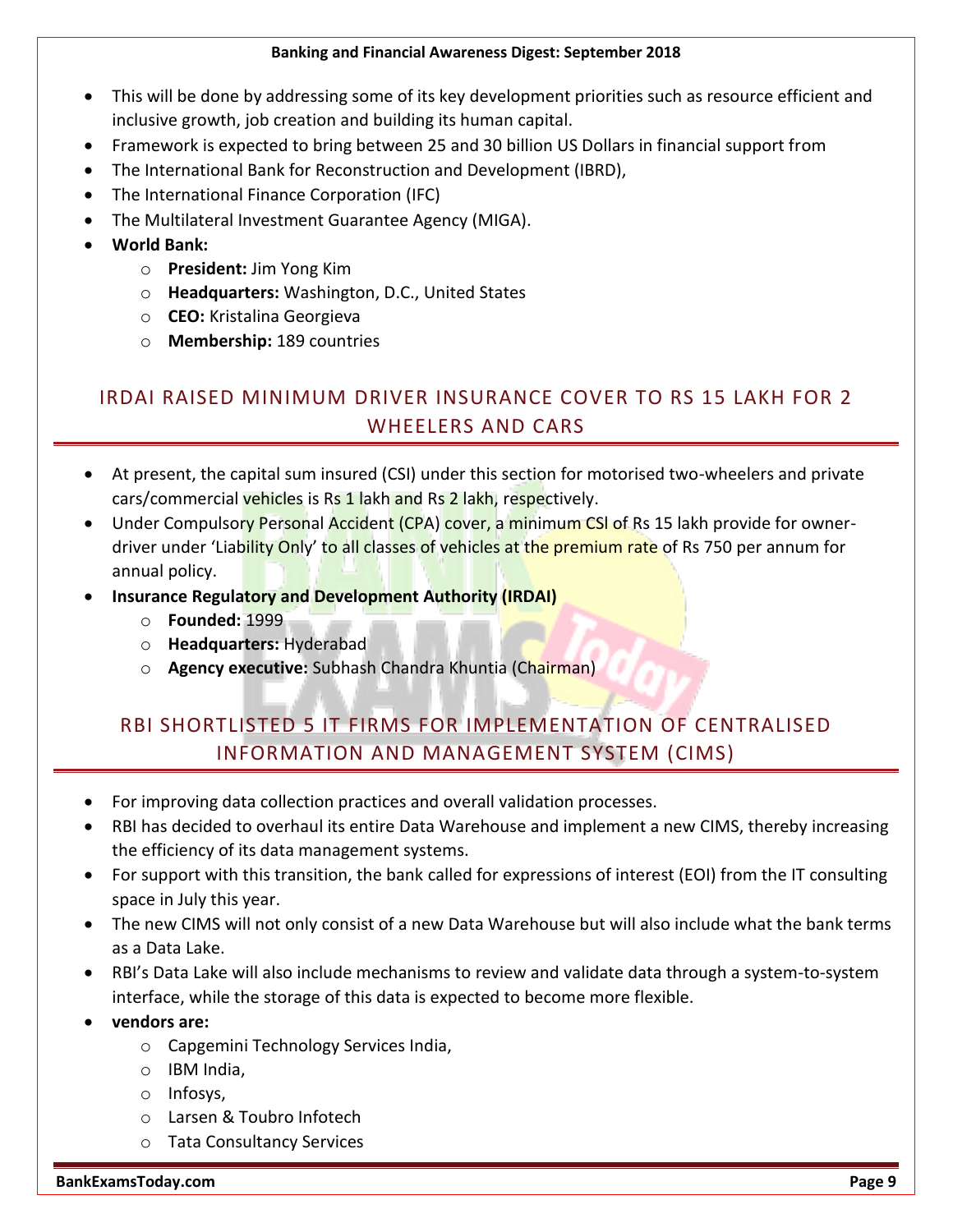- This will be done by addressing some of its key development priorities such as resource efficient and inclusive growth, job creation and building its human capital.
- Framework is expected to bring between 25 and 30 billion US Dollars in financial support from
- The International Bank for Reconstruction and Development (IBRD),
- The International Finance Corporation (IFC)
- The Multilateral Investment Guarantee Agency (MIGA).
- **World Bank:**
	- o **President:** Jim Yong Kim
	- o **Headquarters:** Washington, D.C., United States
	- o **CEO:** Kristalina Georgieva
	- o **Membership:** 189 countries

#### <span id="page-9-0"></span>IRDAI RAISED MINIMUM DRIVER INSURANCE COVER TO RS 15 LAKH FOR 2 WHEELERS AND CARS

- At present, the capital sum insured (CSI) under this section for motorised two-wheelers and private cars/commercial vehicles is Rs 1 lakh and Rs 2 lakh, respectively.
- Under Compulsory Personal Accident (CPA) cover, a minimum CSI of Rs 15 lakh provide for ownerdriver under 'Liability Only' to all classes of vehicles at the premium rate of Rs 750 per annum for annual policy.
- **Insurance Regulatory and Development Authority (IRDAI)**
	- o **Founded:** 1999
	- o **Headquarters:** Hyderabad
	- o **Agency executive:** Subhash Chandra Khuntia (Chairman)

## <span id="page-9-1"></span>RBI SHORTLISTED 5 IT FIRMS FOR IMPLEMENTATION OF CENTRALISED INFORMATION AND MANAGEMENT SYSTEM (CIMS)

- For improving data collection practices and overall validation processes.
- RBI has decided to overhaul its entire Data Warehouse and implement a new CIMS, thereby increasing the efficiency of its data management systems.
- For support with this transition, the bank called for expressions of interest (EOI) from the IT consulting space in July this year.
- The new CIMS will not only consist of a new Data Warehouse but will also include what the bank terms as a Data Lake.
- RBI's Data Lake will also include mechanisms to review and validate data through a system-to-system interface, while the storage of this data is expected to become more flexible.
- **vendors are:**
	- o Capgemini Technology Services India,
	- o IBM India,
		- o Infosys,
		- o Larsen & Toubro Infotech
		- o Tata Consultancy Services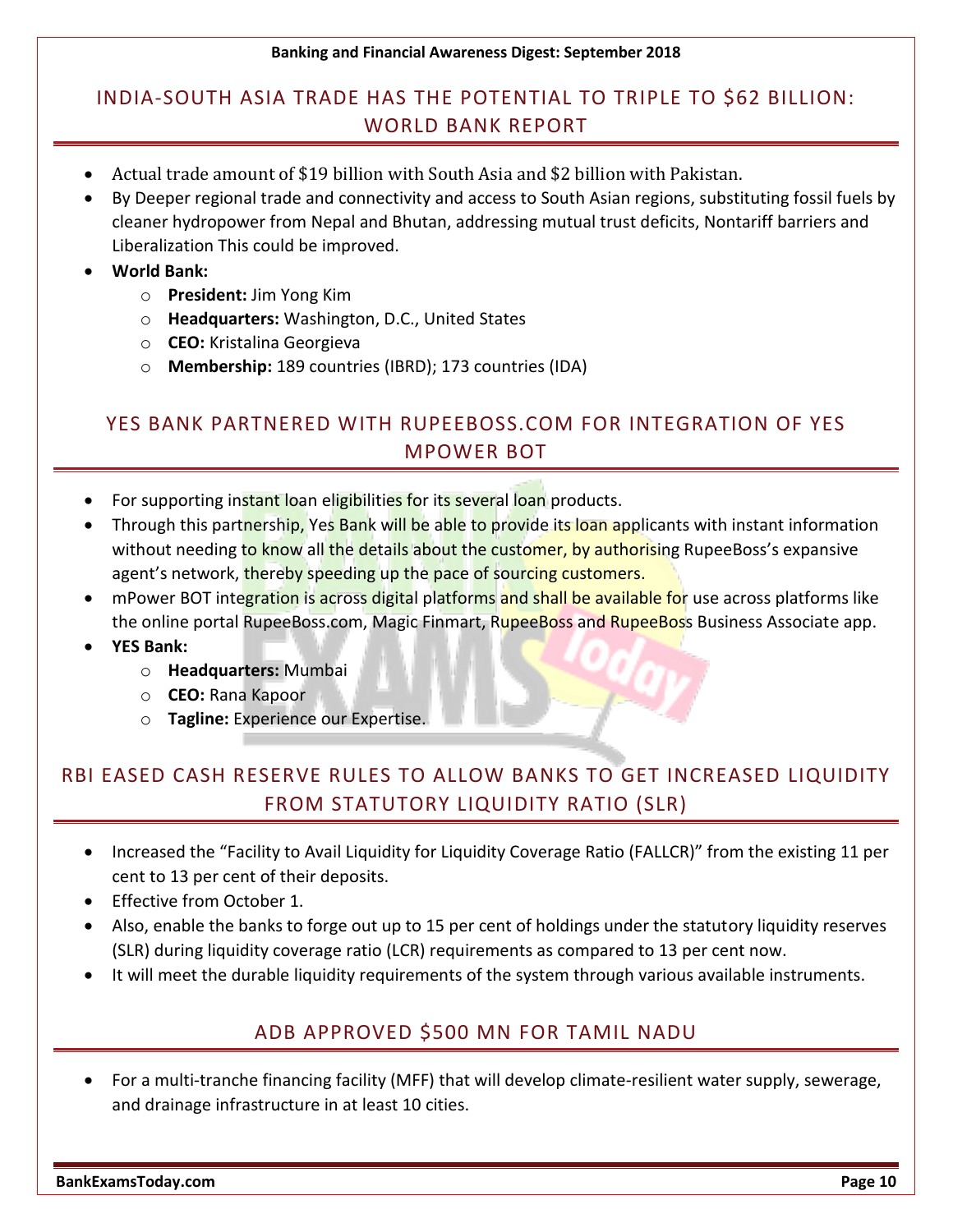## <span id="page-10-0"></span>INDIA-SOUTH ASIA TRADE HAS THE POTENTIAL TO TRIPLE TO \$62 BILLION: WORLD BANK REPORT

- Actual trade amount of \$19 billion with South Asia and \$2 billion with Pakistan.
- By Deeper regional trade and connectivity and access to South Asian regions, substituting fossil fuels by cleaner hydropower from Nepal and Bhutan, addressing mutual trust deficits, Nontariff barriers and Liberalization This could be improved.
- **World Bank:**
	- o **President:** Jim Yong Kim
	- o **Headquarters:** Washington, D.C., United States
	- o **CEO:** Kristalina Georgieva
	- o **Membership:** 189 countries (IBRD); 173 countries (IDA)

#### <span id="page-10-1"></span>YES BANK PARTNERED WITH RUPEEBOSS.COM FOR INTEGRATION OF YES MPOWER BOT

- For supporting instant loan eligibilities for its several loan products.
- Through this partnership, Yes Bank will be able to provide its loan applicants with instant information without needing to know all the details about the customer, by authorising RupeeBoss's expansive agent's network, thereby speeding up the pace of sourcing customers.
- mPower BOT integration is across digital platforms and shall be available for use across platforms like the online portal RupeeBoss.com, Magic Finmart, RupeeBoss and RupeeBoss Business Associate app.
- **YES Bank:**
	- o **Headquarters:** Mumbai
	- o **CEO:** Rana Kapoor
	- o **Tagline:** Experience our Expertise.

## <span id="page-10-2"></span>RBI EASED CASH RESERVE RULES TO ALLOW BANKS TO GET INCREASED LIQUIDITY FROM STATUTORY LIQUIDITY RATIO (SLR)

- Increased the "Facility to Avail Liquidity for Liquidity Coverage Ratio (FALLCR)" from the existing 11 per cent to 13 per cent of their deposits.
- **Effective from October 1.**
- Also, enable the banks to forge out up to 15 per cent of holdings under the statutory liquidity reserves (SLR) during liquidity coverage ratio (LCR) requirements as compared to 13 per cent now.
- <span id="page-10-3"></span>It will meet the durable liquidity requirements of the system through various available instruments.

#### ADB APPROVED \$500 MN FOR TAMIL NADU

 For a multi-tranche financing facility (MFF) that will develop climate-resilient water supply, sewerage, and drainage infrastructure in at least 10 cities.